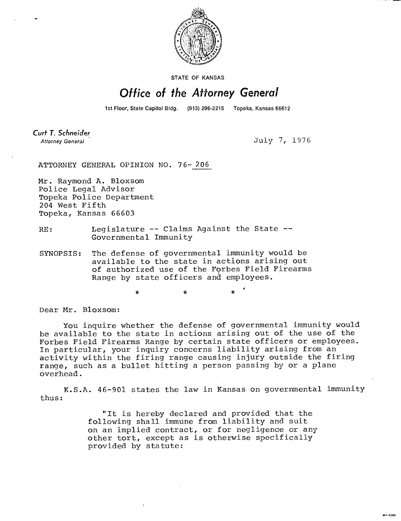

**STATE OF KANSAS** 

## Office of the Attorney General

1st Floor, State Capitol Bldg. (913) 296-2215 Topeka, Kansas 66612

Curt T. Schneider **Attorney General** 

July 7, 1976

MI-1043

ATTORNEY GENERAL OPINION NO. 76-206

Mr. Raymond A. Bloxsom Police Legal Advisor Topeka Police Department 204 West Fifth Topeka, Kansas 66603

- RE: Legislature -- Claims Against the State --Governmental Immunity
- SYNOPSIS: The defense of governmental immunity would be available to the state in actions arising out of authorized use of the Forbes Field Firearms Range by state officers and employees.

Dear Mr. Bloxsom:

You inquire whether the defense of governmental immunity would be available to the state in actions arising out of the use of the Forbes Field Firearms Range by certain state officers or employees. In particular, your inquiry concerns liability arising from an activity within the firing range causing injury outside the firing range, such as a bullet hitting a person passing by or a plane overhead.

K.S.A. 46-901 states the law in Kansas on governmental immunity thus:

> "It is hereby declared and provided that the following shall immune from liability and suit on an implied contract, or for negligence or any other tort, except as is otherwise specifically provided by statute: